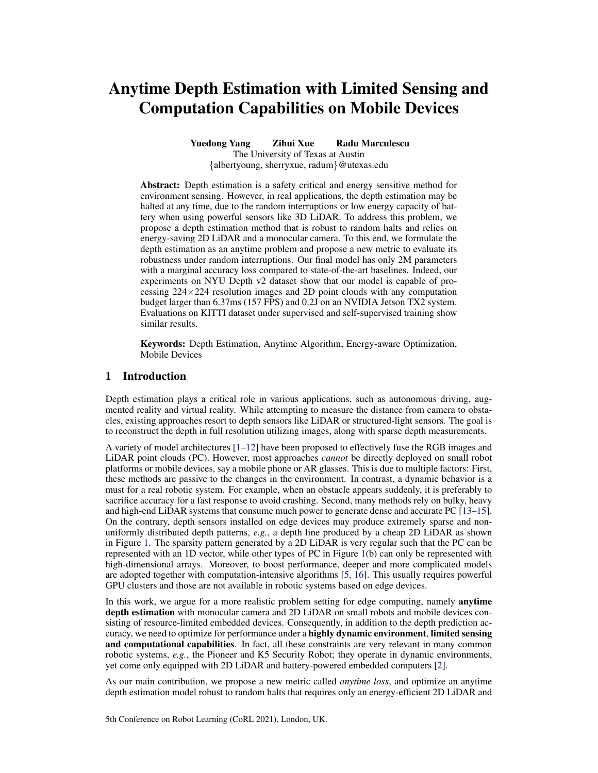# Anytime Depth Estimation with Limited Sensing and Computation Capabilities on Mobile Devices

Yuedong Yang Zihui Xue Radu Marculescu The University of Texas at Austin {albertyoung, sherryxue, radum}@utexas.edu

Abstract: Depth estimation is a safety critical and energy sensitive method for environment sensing. However, in real applications, the depth estimation may be halted at any time, due to the random interruptions or low energy capacity of battery when using powerful sensors like 3D LiDAR. To address this problem, we propose a depth estimation method that is robust to random halts and relies on energy-saving 2D LiDAR and a monocular camera. To this end, we formulate the depth estimation as an anytime problem and propose a new metric to evaluate its robustness under random interruptions. Our final model has only 2M parameters with a marginal accuracy loss compared to state-of-the-art baselines. Indeed, our experiments on NYU Depth v2 dataset show that our model is capable of processing  $224 \times 224$  resolution images and 2D point clouds with any computation budget larger than 6.37ms (157 FPS) and 0.2J on an NVIDIA Jetson TX2 system. Evaluations on KITTI dataset under supervised and self-supervised training show similar results.

Keywords: Depth Estimation, Anytime Algorithm, Energy-aware Optimization, Mobile Devices

# 1 Introduction

Depth estimation plays a critical role in various applications, such as autonomous driving, augmented reality and virtual reality. While attempting to measure the distance from camera to obstacles, existing approaches resort to depth sensors like LiDAR or structured-light sensors. The goal is to reconstruct the depth in full resolution utilizing images, along with sparse depth measurements.

A variety of model architectures [\[1–12\]](#page-8-0) have been proposed to effectively fuse the RGB images and LiDAR point clouds (PC). However, most approaches *cannot* be directly deployed on small robot platforms or mobile devices, say a mobile phone or AR glasses. This is due to multiple factors: First, these methods are passive to the changes in the environment. In contrast, a dynamic behavior is a must for a real robotic system. For example, when an obstacle appears suddenly, it is preferably to sacrifice accuracy for a fast response to avoid crashing. Second, many methods rely on bulky, heavy and high-end LiDAR systems that consume much power to generate dense and accurate PC [\[13–15\]](#page-8-0). On the contrary, depth sensors installed on edge devices may produce extremely sparse and nonuniformly distributed depth patterns, *e.g.*, a depth line produced by a cheap 2D LiDAR as shown in Figure [1.](#page-1-0) The sparsity pattern generated by a 2D LiDAR is very regular such that the PC can be represented with an 1D vector, while other types of PC in Figure [1\(](#page-1-0)b) can only be represented with high-dimensional arrays. Moreover, to boost performance, deeper and more complicated models are adopted together with computation-intensive algorithms [\[5,](#page-8-0) [16\]](#page-8-0). This usually requires powerful GPU clusters and those are not available in robotic systems based on edge devices.

In this work, we argue for a more realistic problem setting for edge computing, namely anytime depth estimation with monocular camera and 2D LiDAR on small robots and mobile devices consisting of resource-limited embedded devices. Consequently, in addition to the depth prediction accuracy, we need to optimize for performance under a highly dynamic environment, limited sensing and computational capabilities. In fact, all these constraints are very relevant in many common robotic systems, *e.g.*, the Pioneer and K5 Security Robot; they operate in dynamic environments, yet come only equipped with 2D LiDAR and battery-powered embedded computers [\[2\]](#page-8-0).

As our main contribution, we propose a new metric called *anytime loss*, and optimize an anytime depth estimation model robust to random halts that requires only an energy-efficient 2D LiDAR and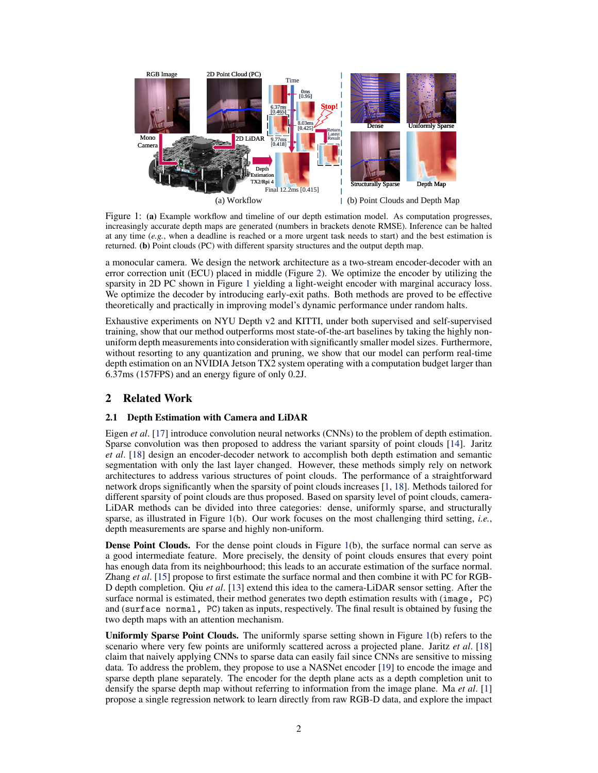<span id="page-1-0"></span>

Figure 1: (a) Example workflow and timeline of our depth estimation model. As computation progresses, increasingly accurate depth maps are generated (numbers in brackets denote RMSE). Inference can be halted at any time (*e.g.*, when a deadline is reached or a more urgent task needs to start) and the best estimation is returned. (b) Point clouds (PC) with different sparsity structures and the output depth map.

a monocular camera. We design the network architecture as a two-stream encoder-decoder with an error correction unit (ECU) placed in middle (Figure [2\)](#page-3-0). We optimize the encoder by utilizing the sparsity in 2D PC shown in Figure 1 yielding a light-weight encoder with marginal accuracy loss. We optimize the decoder by introducing early-exit paths. Both methods are proved to be effective theoretically and practically in improving model's dynamic performance under random halts.

Exhaustive experiments on NYU Depth v2 and KITTI, under both supervised and self-supervised training, show that our method outperforms most state-of-the-art baselines by taking the highly nonuniform depth measurements into consideration with significantly smaller model sizes. Furthermore, without resorting to any quantization and pruning, we show that our model can perform real-time depth estimation on an NVIDIA Jetson TX2 system operating with a computation budget larger than 6.37ms (157FPS) and an energy figure of only 0.2J.

# 2 Related Work

## 2.1 Depth Estimation with Camera and LiDAR

Eigen *et al*. [\[17\]](#page-8-0) introduce convolution neural networks (CNNs) to the problem of depth estimation. Sparse convolution was then proposed to address the variant sparsity of point clouds [\[14\]](#page-8-0). Jaritz *et al*. [\[18\]](#page-9-0) design an encoder-decoder network to accomplish both depth estimation and semantic segmentation with only the last layer changed. However, these methods simply rely on network architectures to address various structures of point clouds. The performance of a straightforward network drops significantly when the sparsity of point clouds increases [\[1,](#page-8-0) [18\]](#page-9-0). Methods tailored for different sparsity of point clouds are thus proposed. Based on sparsity level of point clouds, camera-LiDAR methods can be divided into three categories: dense, uniformly sparse, and structurally sparse, as illustrated in Figure 1(b). Our work focuses on the most challenging third setting, *i.e.*, depth measurements are sparse and highly non-uniform.

Dense Point Clouds. For the dense point clouds in Figure 1(b), the surface normal can serve as a good intermediate feature. More precisely, the density of point clouds ensures that every point has enough data from its neighbourhood; this leads to an accurate estimation of the surface normal. Zhang *et al*. [\[15\]](#page-8-0) propose to first estimate the surface normal and then combine it with PC for RGB-D depth completion. Qiu *et al*. [\[13\]](#page-8-0) extend this idea to the camera-LiDAR sensor setting. After the surface normal is estimated, their method generates two depth estimation results with (image, PC) and (surface normal, PC) taken as inputs, respectively. The final result is obtained by fusing the two depth maps with an attention mechanism.

Uniformly Sparse Point Clouds. The uniformly sparse setting shown in Figure 1(b) refers to the scenario where very few points are uniformly scattered across a projected plane. Jaritz *et al*. [\[18\]](#page-9-0) claim that naively applying CNNs to sparse data can easily fail since CNNs are sensitive to missing data. To address the problem, they propose to use a NASNet encoder [\[19\]](#page-9-0) to encode the image and sparse depth plane separately. The encoder for the depth plane acts as a depth completion unit to densify the sparse depth map without referring to information from the image plane. Ma *et al*. [\[1\]](#page-8-0) propose a single regression network to learn directly from raw RGB-D data, and explore the impact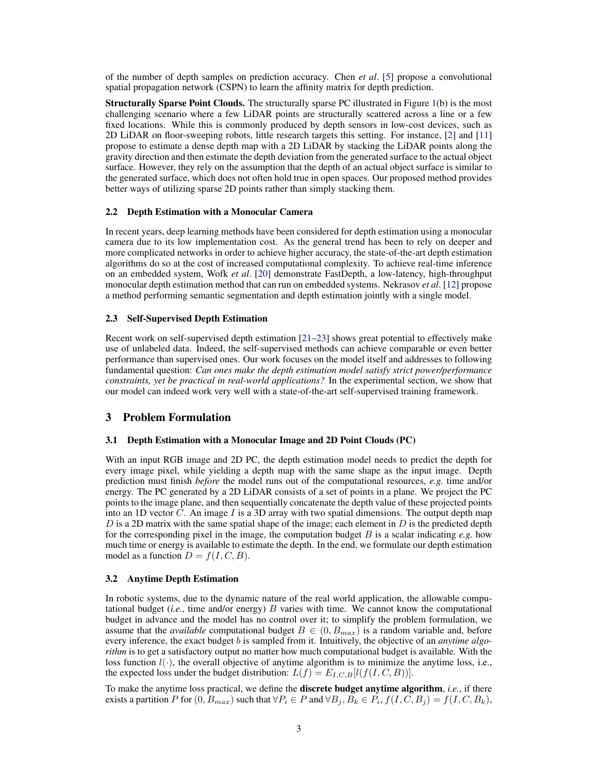of the number of depth samples on prediction accuracy. Chen *et al*. [\[5\]](#page-8-0) propose a convolutional spatial propagation network (CSPN) to learn the affinity matrix for depth prediction.

Structurally Sparse Point Clouds. The structurally sparse PC illustrated in Figure [1\(](#page-1-0)b) is the most challenging scenario where a few LiDAR points are structurally scattered across a line or a few fixed locations. While this is commonly produced by depth sensors in low-cost devices, such as 2D LiDAR on floor-sweeping robots, little research targets this setting. For instance, [\[2\]](#page-8-0) and [\[11\]](#page-8-0) propose to estimate a dense depth map with a 2D LiDAR by stacking the LiDAR points along the gravity direction and then estimate the depth deviation from the generated surface to the actual object surface. However, they rely on the assumption that the depth of an actual object surface is similar to the generated surface, which does not often hold true in open spaces. Our proposed method provides better ways of utilizing sparse 2D points rather than simply stacking them.

## 2.2 Depth Estimation with a Monocular Camera

In recent years, deep learning methods have been considered for depth estimation using a monocular camera due to its low implementation cost. As the general trend has been to rely on deeper and more complicated networks in order to achieve higher accuracy, the state-of-the-art depth estimation algorithms do so at the cost of increased computational complexity. To achieve real-time inference on an embedded system, Wofk *et al*. [\[20\]](#page-9-0) demonstrate FastDepth, a low-latency, high-throughput monocular depth estimation method that can run on embedded systems. Nekrasov *et al*. [\[12\]](#page-8-0) propose a method performing semantic segmentation and depth estimation jointly with a single model.

#### 2.3 Self-Supervised Depth Estimation

Recent work on self-supervised depth estimation [\[21–23\]](#page-9-0) shows great potential to effectively make use of unlabeled data. Indeed, the self-supervised methods can achieve comparable or even better performance than supervised ones. Our work focuses on the model itself and addresses to following fundamental question: *Can ones make the depth estimation model satisfy strict power/performance constraints, yet be practical in real-world applications?* In the experimental section, we show that our model can indeed work very well with a state-of-the-art self-supervised training framework.

# 3 Problem Formulation

#### 3.1 Depth Estimation with a Monocular Image and 2D Point Clouds (PC)

With an input RGB image and 2D PC, the depth estimation model needs to predict the depth for every image pixel, while yielding a depth map with the same shape as the input image. Depth prediction must finish *before* the model runs out of the computational resources, *e.g.* time and/or energy. The PC generated by a 2D LiDAR consists of a set of points in a plane. We project the PC points to the image plane, and then sequentially concatenate the depth value of these projected points into an 1D vector  $C$ . An image  $I$  is a 3D array with two spatial dimensions. The output depth map  $D$  is a 2D matrix with the same spatial shape of the image; each element in  $D$  is the predicted depth for the corresponding pixel in the image, the computation budget  $B$  is a scalar indicating  $e.g.$  how much time or energy is available to estimate the depth. In the end, we formulate our depth estimation model as a function  $D = f(I, C, B)$ .

### 3.2 Anytime Depth Estimation

In robotic systems, due to the dynamic nature of the real world application, the allowable computational budget  $(i.e.,$  time and/or energy)  $B$  varies with time. We cannot know the computational budget in advance and the model has no control over it; to simplify the problem formulation, we assume that the *available* computational budget  $B \in (0, B_{max})$  is a random variable and, before every inference, the exact budget b is sampled from it. Intuitively, the objective of an *anytime algorithm* is to get a satisfactory output no matter how much computational budget is available. With the loss function  $l(\cdot)$ , the overall objective of anytime algorithm is to minimize the anytime loss, i.e., the expected loss under the budget distribution:  $L(f) = E_{I,C,B}[l(f(I, C, B))].$ 

To make the anytime loss practical, we define the discrete budget anytime algorithm, *i.e.*, if there exists a partition P for  $(0, B_{max})$  such that  $\forall P_i \in P$  and  $\forall B_j, B_k \in P_i$ ,  $f(I, C, B_j) = f(I, C, B_k)$ ,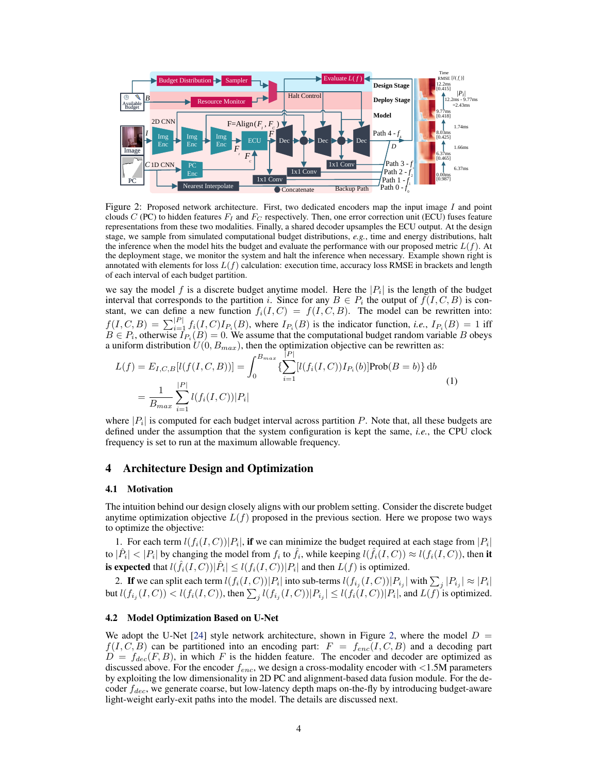<span id="page-3-0"></span>

Figure 2: Proposed network architecture. First, two dedicated encoders map the input image I and point clouds C (PC) to hidden features  $F_I$  and  $F_C$  respectively. Then, one error correction unit (ECU) fuses feature representations from these two modalities. Finally, a shared decoder upsamples the ECU output. At the design stage, we sample from simulated computational budget distributions, *e.g.*, time and energy distributions, halt the inference when the model hits the budget and evaluate the performance with our proposed metric  $L(f)$ . At the deployment stage, we monitor the system and halt the inference when necessary. Example shown right is annotated with elements for loss  $L(f)$  calculation: execution time, accuracy loss RMSE in brackets and length of each interval of each budget partition.

we say the model f is a discrete budget anytime model. Here the  $|P_i|$  is the length of the budget interval that corresponds to the partition i. Since for any  $B \in P_i$  the output of  $f(I, C, B)$  is constant, we can define a new function  $f_i(I, C) = f(I, C, B)$ . The model can be rewritten into:  $f(I, C, B) = \sum_{i=1}^{|P|} f_i(I, C) I_{P_i}(B)$ , where  $I_{P_i}(B)$  is the indicator function, *i.e.*,  $I_{P_i}(B) = 1$  iff  $B \in P_i$ , otherwise  $I_{P_i}(B) = 0$ . We assume that the computational budget random variable B obeys a uniform distribution  $U(0, B_{max})$ , then the optimization objective can be rewritten as:

$$
L(f) = E_{I,C,B}[l(f(I,C,B))] = \int_0^{B_{max}} \left\{ \sum_{i=1}^{|P|} [l(f_i(I,C))I_{P_i}(b)] \text{Prob}(B=b) \right\} db
$$
  
= 
$$
\frac{1}{B_{max}} \sum_{i=1}^{|P|} l(f_i(I,C))|P_i|
$$
 (1)

where  $|P_i|$  is computed for each budget interval across partition P. Note that, all these budgets are defined under the assumption that the system configuration is kept the same, *i.e.*, the CPU clock frequency is set to run at the maximum allowable frequency.

## 4 Architecture Design and Optimization

#### 4.1 Motivation

The intuition behind our design closely aligns with our problem setting. Consider the discrete budget anytime optimization objective  $L(f)$  proposed in the previous section. Here we propose two ways to optimize the objective:

1. For each term  $l(f_i(I, C)) |P_i|$ , if we can minimize the budget required at each stage from  $|P_i|$ to  $|\hat{P}_i| < |P_i|$  by changing the model from  $f_i$  to  $\hat{f}_i$ , while keeping  $l(\hat{f}_i(I,C)) \approx l(f_i(I,C))$ , then it is expected that  $l(\hat{f}_i(I,C))|\hat{P}_i| \leq l(f_i(I,C))|P_i|$  and then  $L(f)$  is optimized.

2. If we can split each term  $l(f_i(I, C)) |P_i|$  into sub-terms  $l(f_{i_j}(I, C)) |P_{i_j}|$  with  $\sum_j |P_{i_j}| \approx |P_i|$ but  $l(f_{i_j}(I, C)) < l(f_i(I, C))$ , then  $\sum_j l(f_{i_j}(I, C)) |P_{i_j}| \le l(f_i(I, C)) |P_i|$ , and  $L(f)$  is optimized.

#### 4.2 Model Optimization Based on U-Net

We adopt the U-Net [\[24\]](#page-9-0) style network architecture, shown in Figure 2, where the model  $D =$  $f(I, C, B)$  can be partitioned into an encoding part:  $F = f_{enc}(I, C, B)$  and a decoding part  $D = f_{dec}(F, B)$ , in which F is the hidden feature. The encoder and decoder are optimized as discussed above. For the encoder  $f_{enc}$ , we design a cross-modality encoder with <1.5M parameters by exploiting the low dimensionality in 2D PC and alignment-based data fusion module. For the decoder  $f_{dec}$ , we generate coarse, but low-latency depth maps on-the-fly by introducing budget-aware light-weight early-exit paths into the model. The details are discussed next.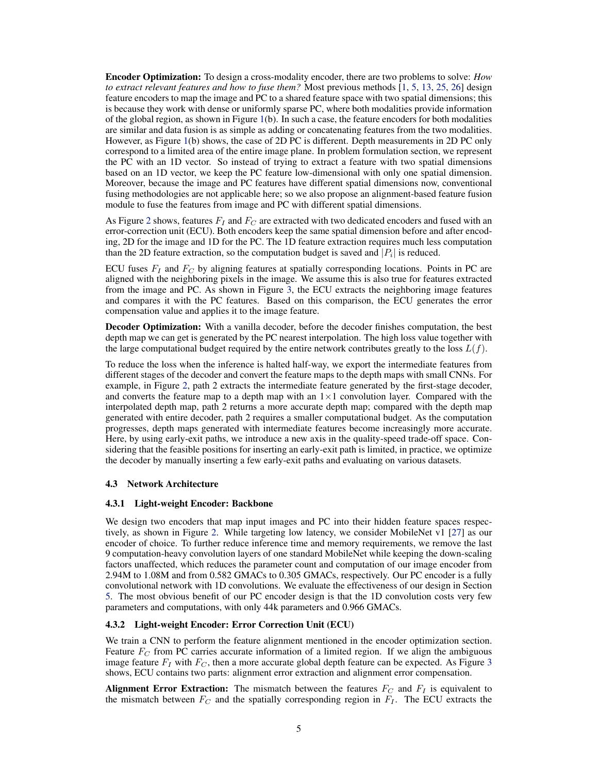Encoder Optimization: To design a cross-modality encoder, there are two problems to solve: *How to extract relevant features and how to fuse them?* Most previous methods [\[1,](#page-8-0) [5,](#page-8-0) [13,](#page-8-0) [25,](#page-9-0) [26\]](#page-9-0) design feature encoders to map the image and PC to a shared feature space with two spatial dimensions; this is because they work with dense or uniformly sparse PC, where both modalities provide information of the global region, as shown in Figure [1\(](#page-1-0)b). In such a case, the feature encoders for both modalities are similar and data fusion is as simple as adding or concatenating features from the two modalities. However, as Figure [1\(](#page-1-0)b) shows, the case of 2D PC is different. Depth measurements in 2D PC only correspond to a limited area of the entire image plane. In problem formulation section, we represent the PC with an 1D vector. So instead of trying to extract a feature with two spatial dimensions based on an 1D vector, we keep the PC feature low-dimensional with only one spatial dimension. Moreover, because the image and PC features have different spatial dimensions now, conventional fusing methodologies are not applicable here; so we also propose an alignment-based feature fusion module to fuse the features from image and PC with different spatial dimensions.

As Figure [2](#page-3-0) shows, features  $F_I$  and  $F_C$  are extracted with two dedicated encoders and fused with an error-correction unit (ECU). Both encoders keep the same spatial dimension before and after encoding, 2D for the image and 1D for the PC. The 1D feature extraction requires much less computation than the 2D feature extraction, so the computation budget is saved and  $|P_i|$  is reduced.

ECU fuses  $F_I$  and  $F_C$  by aligning features at spatially corresponding locations. Points in PC are aligned with the neighboring pixels in the image. We assume this is also true for features extracted from the image and PC. As shown in Figure [3,](#page-5-0) the ECU extracts the neighboring image features and compares it with the PC features. Based on this comparison, the ECU generates the error compensation value and applies it to the image feature.

Decoder Optimization: With a vanilla decoder, before the decoder finishes computation, the best depth map we can get is generated by the PC nearest interpolation. The high loss value together with the large computational budget required by the entire network contributes greatly to the loss  $L(f)$ .

To reduce the loss when the inference is halted half-way, we export the intermediate features from different stages of the decoder and convert the feature maps to the depth maps with small CNNs. For example, in Figure [2,](#page-3-0) path 2 extracts the intermediate feature generated by the first-stage decoder, and converts the feature map to a depth map with an  $1\times1$  convolution layer. Compared with the interpolated depth map, path 2 returns a more accurate depth map; compared with the depth map generated with entire decoder, path 2 requires a smaller computational budget. As the computation progresses, depth maps generated with intermediate features become increasingly more accurate. Here, by using early-exit paths, we introduce a new axis in the quality-speed trade-off space. Considering that the feasible positions for inserting an early-exit path is limited, in practice, we optimize the decoder by manually inserting a few early-exit paths and evaluating on various datasets.

#### 4.3 Network Architecture

#### 4.3.1 Light-weight Encoder: Backbone

We design two encoders that map input images and PC into their hidden feature spaces respectively, as shown in Figure [2.](#page-3-0) While targeting low latency, we consider MobileNet v1 [\[27\]](#page-9-0) as our encoder of choice. To further reduce inference time and memory requirements, we remove the last 9 computation-heavy convolution layers of one standard MobileNet while keeping the down-scaling factors unaffected, which reduces the parameter count and computation of our image encoder from 2.94M to 1.08M and from 0.582 GMACs to 0.305 GMACs, respectively. Our PC encoder is a fully convolutional network with 1D convolutions. We evaluate the effectiveness of our design in Section [5.](#page-5-0) The most obvious benefit of our PC encoder design is that the 1D convolution costs very few parameters and computations, with only 44k parameters and 0.966 GMACs.

#### 4.3.2 Light-weight Encoder: Error Correction Unit (ECU)

We train a CNN to perform the feature alignment mentioned in the encoder optimization section. Feature  $F_C$  from PC carries accurate information of a limited region. If we align the ambiguous image feature  $F_I$  with  $F_C$ , then a more accurate global depth feature can be expected. As Figure [3](#page-5-0) shows, ECU contains two parts: alignment error extraction and alignment error compensation.

Alignment Error Extraction: The mismatch between the features  $F_C$  and  $F_I$  is equivalent to the mismatch between  $F_C$  and the spatially corresponding region in  $F_I$ . The ECU extracts the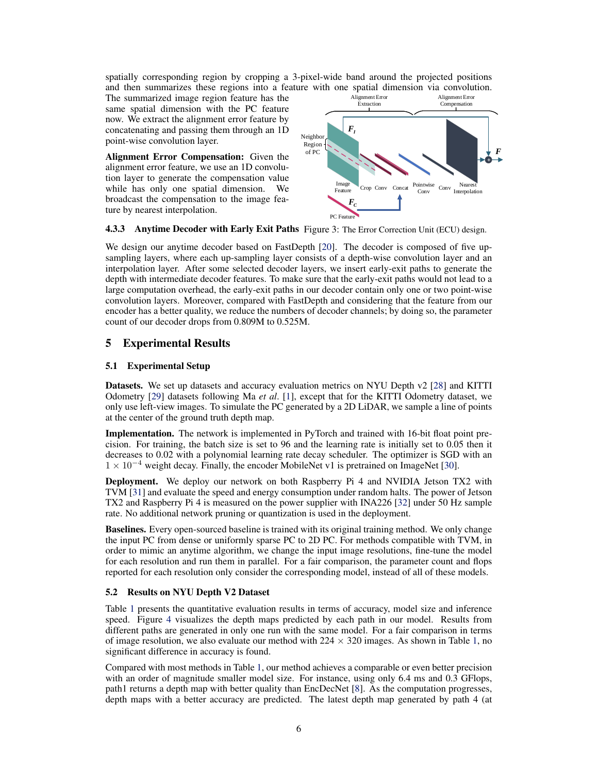<span id="page-5-0"></span>spatially corresponding region by cropping a 3-pixel-wide band around the projected positions and then summarizes these regions into a feature with one spatial dimension via convolution.

The summarized image region feature has the same spatial dimension with the PC feature now. We extract the alignment error feature by concatenating and passing them through an 1D point-wise convolution layer.

Alignment Error Compensation: Given the alignment error feature, we use an 1D convolution layer to generate the compensation value while has only one spatial dimension. We broadcast the compensation to the image feature by nearest interpolation.



# 4.3.3 Anytime Decoder with Early Exit Paths Figure 3: The Error Correction Unit (ECU) design.

We design our anytime decoder based on FastDepth [\[20\]](#page-9-0). The decoder is composed of five upsampling layers, where each up-sampling layer consists of a depth-wise convolution layer and an interpolation layer. After some selected decoder layers, we insert early-exit paths to generate the depth with intermediate decoder features. To make sure that the early-exit paths would not lead to a large computation overhead, the early-exit paths in our decoder contain only one or two point-wise convolution layers. Moreover, compared with FastDepth and considering that the feature from our encoder has a better quality, we reduce the numbers of decoder channels; by doing so, the parameter count of our decoder drops from 0.809M to 0.525M.

# 5 Experimental Results

## 5.1 Experimental Setup

Datasets. We set up datasets and accuracy evaluation metrics on NYU Depth v2 [\[28\]](#page-9-0) and KITTI Odometry [\[29\]](#page-9-0) datasets following Ma *et al*. [\[1\]](#page-8-0), except that for the KITTI Odometry dataset, we only use left-view images. To simulate the PC generated by a 2D LiDAR, we sample a line of points at the center of the ground truth depth map.

Implementation. The network is implemented in PyTorch and trained with 16-bit float point precision. For training, the batch size is set to 96 and the learning rate is initially set to 0.05 then it decreases to 0.02 with a polynomial learning rate decay scheduler. The optimizer is SGD with an  $1 \times 10^{-4}$  weight decay. Finally, the encoder MobileNet v1 is pretrained on ImageNet [\[30\]](#page-9-0).

Deployment. We deploy our network on both Raspberry Pi 4 and NVIDIA Jetson TX2 with TVM [\[31\]](#page-9-0) and evaluate the speed and energy consumption under random halts. The power of Jetson TX2 and Raspberry Pi 4 is measured on the power supplier with INA226 [\[32\]](#page-9-0) under 50 Hz sample rate. No additional network pruning or quantization is used in the deployment.

Baselines. Every open-sourced baseline is trained with its original training method. We only change the input PC from dense or uniformly sparse PC to 2D PC. For methods compatible with TVM, in order to mimic an anytime algorithm, we change the input image resolutions, fine-tune the model for each resolution and run them in parallel. For a fair comparison, the parameter count and flops reported for each resolution only consider the corresponding model, instead of all of these models.

#### 5.2 Results on NYU Depth V2 Dataset

Table [1](#page-6-0) presents the quantitative evaluation results in terms of accuracy, model size and inference speed. Figure [4](#page-6-0) visualizes the depth maps predicted by each path in our model. Results from different paths are generated in only one run with the same model. For a fair comparison in terms of image resolution, we also evaluate our method with  $224 \times 320$  images. As shown in Table [1,](#page-6-0) no significant difference in accuracy is found.

Compared with most methods in Table [1,](#page-6-0) our method achieves a comparable or even better precision with an order of magnitude smaller model size. For instance, using only 6.4 ms and 0.3 GFlops, path1 returns a depth map with better quality than EncDecNet [\[8\]](#page-8-0). As the computation progresses, depth maps with a better accuracy are predicted. The latest depth map generated by path 4 (at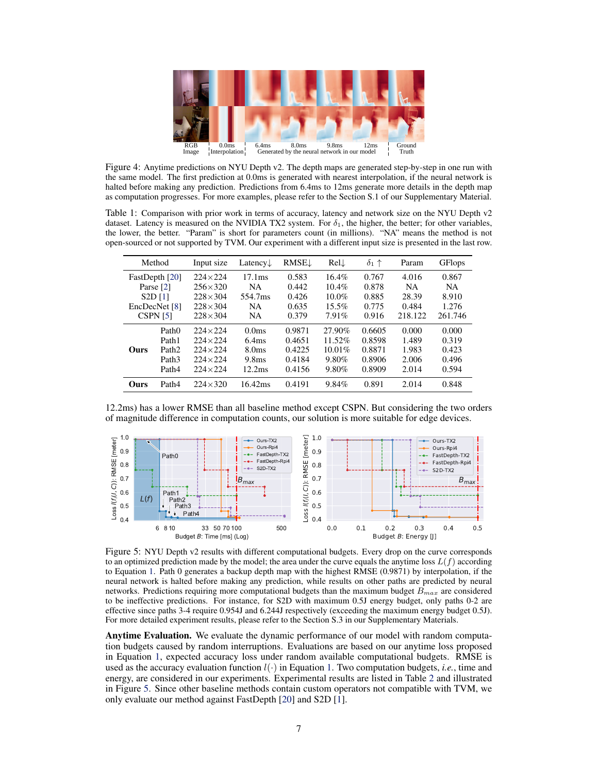<span id="page-6-0"></span>

Figure 4: Anytime predictions on NYU Depth v2. The depth maps are generated step-by-step in one run with the same model. The first prediction at 0.0ms is generated with nearest interpolation, if the neural network is halted before making any prediction. Predictions from 6.4ms to 12ms generate more details in the depth map as computation progresses. For more examples, please refer to the Section S.1 of our Supplementary Material.

Table 1: Comparison with prior work in terms of accuracy, latency and network size on the NYU Depth v2 dataset. Latency is measured on the NVIDIA TX2 system. For  $\delta_1$ , the higher, the better; for other variables, the lower, the better. "Param" is short for parameters count (in millions). "NA" means the method is not open-sourced or not supported by TVM. Our experiment with a different input size is presented in the last row.

| Method              |                   | Input size       | Latency $\downarrow$ | <b>RMSE</b> | $Rel\downarrow$ | $\delta_1$ $\uparrow$ | Param     | <b>GFlops</b> |
|---------------------|-------------------|------------------|----------------------|-------------|-----------------|-----------------------|-----------|---------------|
| FastDepth [20]      |                   | $224 \times 224$ | 17.1 <sub>ms</sub>   | 0.583       | $16.4\%$        | 0.767                 | 4.016     | 0.867         |
| Parse [2]           |                   | $256 \times 320$ | <b>NA</b>            | 0.442       | $10.4\%$        | 0.878                 | <b>NA</b> | <b>NA</b>     |
| S2D[1]              |                   | $228 \times 304$ | 554.7ms              | 0.426       | $10.0\%$        | 0.885                 | 28.39     | 8.910         |
| EncDecNet [8]       |                   | $228 \times 304$ | <b>NA</b>            | 0.635       | $15.5\%$        | 0.775                 | 0.484     | 1.276         |
| CSPN <sub>[5]</sub> |                   | $228 \times 304$ | <b>NA</b>            | 0.379       | 7.91%           | 0.916                 | 218.122   | 261.746       |
| Ours                | Path <sub>0</sub> | $224 \times 224$ | 0.0 <sub>ms</sub>    | 0.9871      | 27.90%          | 0.6605                | 0.000     | 0.000         |
|                     | Path1             | $224 \times 224$ | 6.4 <sub>ms</sub>    | 0.4651      | 11.52%          | 0.8598                | 1.489     | 0.319         |
|                     | Path <sub>2</sub> | $224 \times 224$ | 8.0 <sub>ms</sub>    | 0.4225      | 10.01%          | 0.8871                | 1.983     | 0.423         |
|                     | Path <sub>3</sub> | $224 \times 224$ | 9.8 <sub>ms</sub>    | 0.4184      | 9.80%           | 0.8906                | 2.006     | 0.496         |
|                     | Path4             | $224 \times 224$ | 12.2 <sub>ms</sub>   | 0.4156      | 9.80%           | 0.8909                | 2.014     | 0.594         |
| Ours                | Path4             | $224 \times 320$ | 16.42ms              | 0.4191      | 9.84%           | 0.891                 | 2.014     | 0.848         |

12.2ms) has a lower RMSE than all baseline method except CSPN. But considering the two orders of magnitude difference in computation counts, our solution is more suitable for edge devices.



Figure 5: NYU Depth v2 results with different computational budgets. Every drop on the curve corresponds to an optimized prediction made by the model; the area under the curve equals the anytime loss  $L(f)$  according to Equation [1.](#page-3-0) Path 0 generates a backup depth map with the highest RMSE (0.9871) by interpolation, if the neural network is halted before making any prediction, while results on other paths are predicted by neural networks. Predictions requiring more computational budgets than the maximum budget  $B_{max}$  are considered to be ineffective predictions. For instance, for S2D with maximum 0.5J energy budget, only paths 0-2 are effective since paths 3-4 require 0.954J and 6.244J respectively (exceeding the maximum energy budget 0.5J). For more detailed experiment results, please refer to the Section S.3 in our Supplementary Materials.

Anytime Evaluation. We evaluate the dynamic performance of our model with random computation budgets caused by random interruptions. Evaluations are based on our anytime loss proposed in Equation [1,](#page-3-0) expected accuracy loss under random available computational budgets. RMSE is used as the accuracy evaluation function  $l(\cdot)$  in Equation [1.](#page-3-0) Two computation budgets, *i.e.*, time and energy, are considered in our experiments. Experimental results are listed in Table [2](#page-7-0) and illustrated in Figure 5. Since other baseline methods contain custom operators not compatible with TVM, we only evaluate our method against FastDepth [\[20\]](#page-9-0) and S2D [\[1\]](#page-8-0).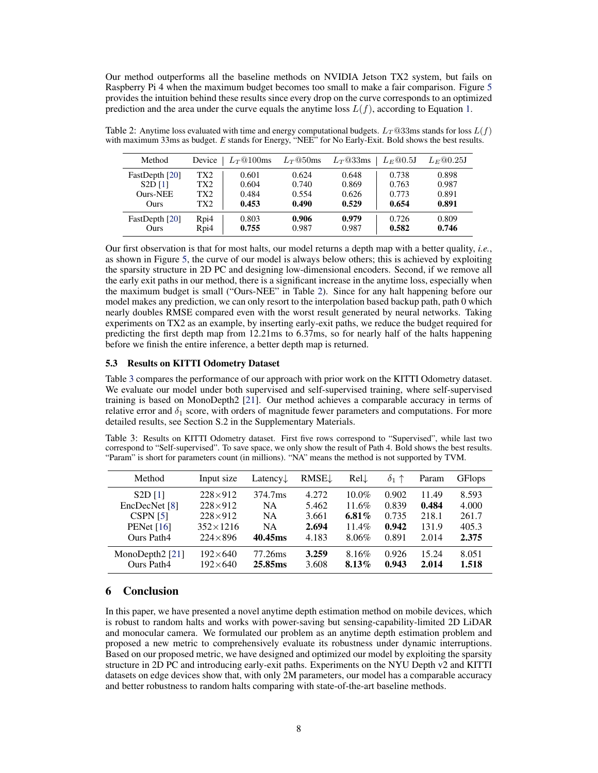<span id="page-7-0"></span>Our method outperforms all the baseline methods on NVIDIA Jetson TX2 system, but fails on Raspberry Pi 4 when the maximum budget becomes too small to make a fair comparison. Figure [5](#page-6-0) provides the intuition behind these results since every drop on the curve corresponds to an optimized prediction and the area under the curve equals the anytime loss  $L(f)$ , according to Equation [1.](#page-3-0)

| Method          | Device | $L_{T}$ ©100ms | $L_{T}$ @50ms | $L_T$ @33ms | $L_E@0.5J$ | $L_E@0.25J$ |
|-----------------|--------|----------------|---------------|-------------|------------|-------------|
| FastDepth [20]  | TX2    | 0.601          | 0.624         | 0.648       | 0.738      | 0.898       |
| S2D[1]          | TX2    | 0.604          | 0.740         | 0.869       | 0.763      | 0.987       |
| <b>Ours-NEE</b> | TX2    | 0.484          | 0.554         | 0.626       | 0.773      | 0.891       |
| Ours            | TX2    | 0.453          | 0.490         | 0.529       | 0.654      | 0.891       |
| FastDepth [20]  | Rpi4   | 0.803          | 0.906         | 0.979       | 0.726      | 0.809       |
| Ours            | Rpi4   | 0.755          | 0.987         | 0.987       | 0.582      | 0.746       |

Table 2: Anytime loss evaluated with time and energy computational budgets.  $L_T$  @33ms stands for loss  $L(f)$ with maximum 33ms as budget. *E* stands for Energy, "NEE" for No Early-Exit. Bold shows the best results.

Our first observation is that for most halts, our model returns a depth map with a better quality, *i.e.*, as shown in Figure [5,](#page-6-0) the curve of our model is always below others; this is achieved by exploiting the sparsity structure in 2D PC and designing low-dimensional encoders. Second, if we remove all the early exit paths in our method, there is a significant increase in the anytime loss, especially when the maximum budget is small ("Ours-NEE" in Table 2). Since for any halt happening before our model makes any prediction, we can only resort to the interpolation based backup path, path 0 which nearly doubles RMSE compared even with the worst result generated by neural networks. Taking experiments on TX2 as an example, by inserting early-exit paths, we reduce the budget required for predicting the first depth map from 12.21ms to 6.37ms, so for nearly half of the halts happening before we finish the entire inference, a better depth map is returned.

### 5.3 Results on KITTI Odometry Dataset

Table 3 compares the performance of our approach with prior work on the KITTI Odometry dataset. We evaluate our model under both supervised and self-supervised training, where self-supervised training is based on MonoDepth2 [\[21\]](#page-9-0). Our method achieves a comparable accuracy in terms of relative error and  $\delta_1$  score, with orders of magnitude fewer parameters and computations. For more detailed results, see Section S.2 in the Supplementary Materials.

Table 3: Results on KITTI Odometry dataset. First five rows correspond to "Supervised", while last two correspond to "Self-supervised". To save space, we only show the result of Path 4. Bold shows the best results. "Param" is short for parameters count (in millions). "NA" means the method is not supported by TVM.

| Method                           | Input size                         | Latency $\downarrow$ | <b>RMSE</b>    | RelL              | $\delta_1$ 1   | Param          | <b>GFlops</b>  |
|----------------------------------|------------------------------------|----------------------|----------------|-------------------|----------------|----------------|----------------|
| $S2D$ [1]                        | $228 \times 912$                   | 374.7ms              | 4.272          | $10.0\%$          | 0.902          | 11.49          | 8.593          |
| EncDecNet [8]                    | $228 \times 912$                   | <b>NA</b>            | 5.462          | 11.6%             | 0.839          | 0.484          | 4.000          |
| CSPN <sub>[5]</sub>              | $228 \times 912$                   | <b>NA</b>            | 3.661          | 6.81 $%$          | 0.735          | 218.1          | 261.7          |
| PENet $[16]$                     | $352\times1216$                    | <b>NA</b>            | 2.694          | 11.4%             | 0.942          | 131.9          | 405.3          |
| Ours Path4                       | $224 \times 896$                   | 40.45ms              | 4.183          | 8.06%             | 0.891          | 2.014          | 2.375          |
| MonoDepth $2$ [21]<br>Ours Path4 | $192\times 640$<br>$192\times 640$ | 77.26ms<br>25.85ms   | 3.259<br>3.608 | 8.16%<br>$8.13\%$ | 0.926<br>0.943 | 15.24<br>2.014 | 8.051<br>1.518 |

# 6 Conclusion

In this paper, we have presented a novel anytime depth estimation method on mobile devices, which is robust to random halts and works with power-saving but sensing-capability-limited 2D LiDAR and monocular camera. We formulated our problem as an anytime depth estimation problem and proposed a new metric to comprehensively evaluate its robustness under dynamic interruptions. Based on our proposed metric, we have designed and optimized our model by exploiting the sparsity structure in 2D PC and introducing early-exit paths. Experiments on the NYU Depth v2 and KITTI datasets on edge devices show that, with only 2M parameters, our model has a comparable accuracy and better robustness to random halts comparing with state-of-the-art baseline methods.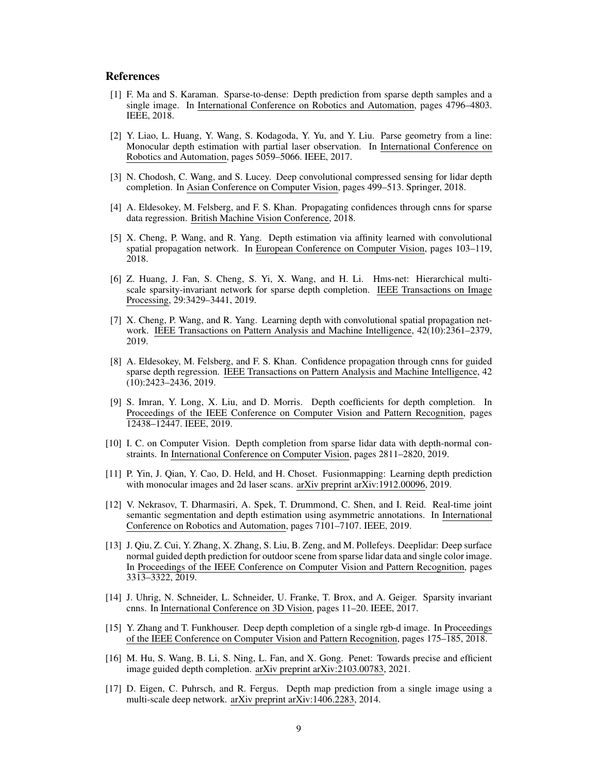## <span id="page-8-0"></span>References

- [1] F. Ma and S. Karaman. Sparse-to-dense: Depth prediction from sparse depth samples and a single image. In International Conference on Robotics and Automation, pages 4796–4803. IEEE, 2018.
- [2] Y. Liao, L. Huang, Y. Wang, S. Kodagoda, Y. Yu, and Y. Liu. Parse geometry from a line: Monocular depth estimation with partial laser observation. In International Conference on Robotics and Automation, pages 5059–5066. IEEE, 2017.
- [3] N. Chodosh, C. Wang, and S. Lucey. Deep convolutional compressed sensing for lidar depth completion. In Asian Conference on Computer Vision, pages 499–513. Springer, 2018.
- [4] A. Eldesokey, M. Felsberg, and F. S. Khan. Propagating confidences through cnns for sparse data regression. British Machine Vision Conference, 2018.
- [5] X. Cheng, P. Wang, and R. Yang. Depth estimation via affinity learned with convolutional spatial propagation network. In European Conference on Computer Vision, pages 103–119, 2018.
- [6] Z. Huang, J. Fan, S. Cheng, S. Yi, X. Wang, and H. Li. Hms-net: Hierarchical multiscale sparsity-invariant network for sparse depth completion. IEEE Transactions on Image Processing, 29:3429–3441, 2019.
- [7] X. Cheng, P. Wang, and R. Yang. Learning depth with convolutional spatial propagation network. IEEE Transactions on Pattern Analysis and Machine Intelligence, 42(10):2361–2379, 2019.
- [8] A. Eldesokey, M. Felsberg, and F. S. Khan. Confidence propagation through cnns for guided sparse depth regression. IEEE Transactions on Pattern Analysis and Machine Intelligence, 42 (10):2423–2436, 2019.
- [9] S. Imran, Y. Long, X. Liu, and D. Morris. Depth coefficients for depth completion. In Proceedings of the IEEE Conference on Computer Vision and Pattern Recognition, pages 12438–12447. IEEE, 2019.
- [10] I. C. on Computer Vision. Depth completion from sparse lidar data with depth-normal constraints. In International Conference on Computer Vision, pages 2811–2820, 2019.
- [11] P. Yin, J. Qian, Y. Cao, D. Held, and H. Choset. Fusionmapping: Learning depth prediction with monocular images and 2d laser scans. arXiv preprint arXiv:1912.00096, 2019.
- [12] V. Nekrasov, T. Dharmasiri, A. Spek, T. Drummond, C. Shen, and I. Reid. Real-time joint semantic segmentation and depth estimation using asymmetric annotations. In International Conference on Robotics and Automation, pages 7101–7107. IEEE, 2019.
- [13] J. Qiu, Z. Cui, Y. Zhang, X. Zhang, S. Liu, B. Zeng, and M. Pollefeys. Deeplidar: Deep surface normal guided depth prediction for outdoor scene from sparse lidar data and single color image. In Proceedings of the IEEE Conference on Computer Vision and Pattern Recognition, pages 3313–3322, 2019.
- [14] J. Uhrig, N. Schneider, L. Schneider, U. Franke, T. Brox, and A. Geiger. Sparsity invariant cnns. In International Conference on 3D Vision, pages 11–20. IEEE, 2017.
- [15] Y. Zhang and T. Funkhouser. Deep depth completion of a single rgb-d image. In Proceedings of the IEEE Conference on Computer Vision and Pattern Recognition, pages 175–185, 2018.
- [16] M. Hu, S. Wang, B. Li, S. Ning, L. Fan, and X. Gong. Penet: Towards precise and efficient image guided depth completion. arXiv preprint arXiv:2103.00783, 2021.
- [17] D. Eigen, C. Puhrsch, and R. Fergus. Depth map prediction from a single image using a multi-scale deep network. arXiv preprint arXiv:1406.2283, 2014.